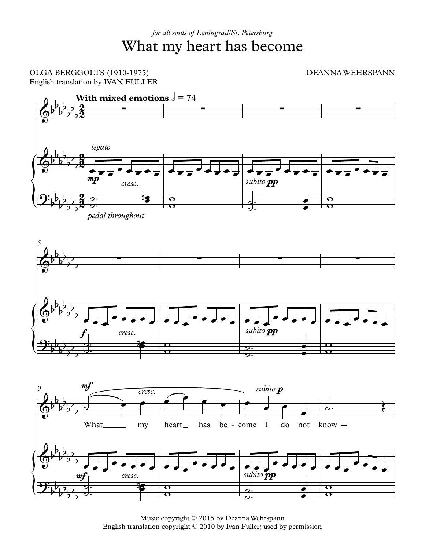## What my heart has become *for all souls of Leningrad/St. Petersburg*

## OLGA BERGGOLTS (1910-1975) English translation by IVAN FULLER

DEANNAWEHRSPANN



Music copyright © 2015 by DeannaWehrspann English translation copyright © 2010 by Ivan Fuller; used by permission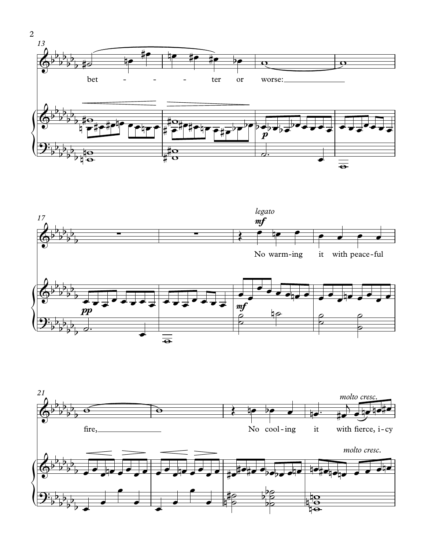





 $\overline{2}$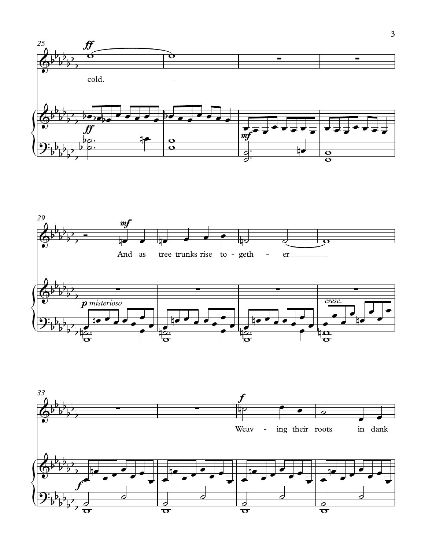